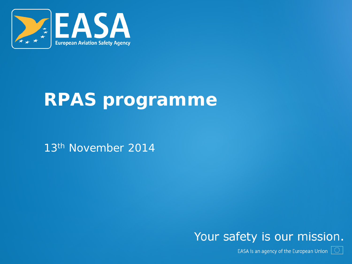

#### **RPAS programme**

13th November 2014

#### Your safety is our mission.

EASA is an agency of the European Union  $|\mathbb{O}|$ 

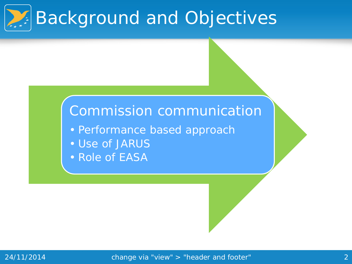

#### Commission communication

- Performance based approach
- Use of JARUS
- Role of EASA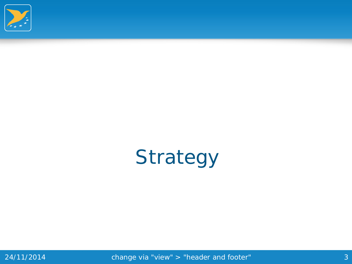

## Strategy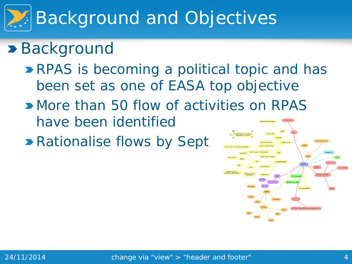# Background and Objectives

#### **>** Background

- **RPAS** is becoming a political topic and has been set as one of EASA top objective
- **More than 50 flow of activities on RPAS** have been identified
- **Rationalise flows by Sept**

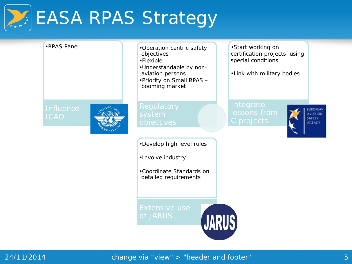# **EASA RPAS Strategy**

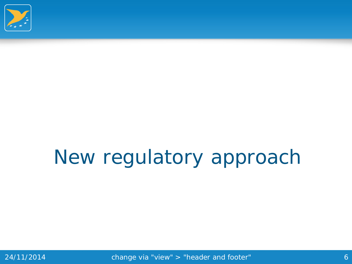

## New regulatory approach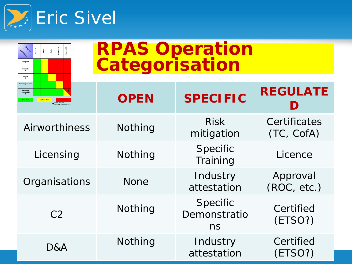

 $\begin{array}{c|c} \hline \text{arrows} & \text{if } \\ \text{if } & \text{if } \\ \text{if } & \text{if } \\ \text{if } & \text{if } \\ \text{if } & \text{if } \\ \text{if } & \text{if } \\ \text{if } & \text{if } \\ \text{if } & \text{if } \\ \text{if } & \text{if } \\ \text{if } & \text{if } \\ \text{if } & \text{if } \\ \text{if } & \text{if } \\ \text{if } & \text{if } \\ \text{if } & \text{if } \\ \text{if } & \text{if } \\ \text{if } & \text{if } \\ \text{if } & \text{if } \\ \text{$ 

Frequent<br>A  $\begin{array}{c}\text{Probable} \\ \text{B}\end{array}$  $\begin{array}{c} \textbf{Remote} \\ \mathbb{C} \end{array}$ 

 $\frac{1}{2}$  or

Catastrophic<br>1 Hazardous<br>2

| <b>RPAS Operation<br/>Categorisation</b> |  |
|------------------------------------------|--|
|                                          |  |

| <b>Extremely Remote</b><br>$\begin{array}{ll} \text{Extremely} \\ \text{Improbable} \\ \text{E} \end{array}$<br><b>Medium Risk</b><br>Single Point or<br>Common Cause Failu | <b>OPEN</b> | <b>SPECIFIC</b>                | <b>REGULATE</b>            |
|-----------------------------------------------------------------------------------------------------------------------------------------------------------------------------|-------------|--------------------------------|----------------------------|
| Airworthiness                                                                                                                                                               | Nothing     | <b>Risk</b><br>mitigation      | Certificates<br>(TC, CofA) |
| Licensing                                                                                                                                                                   | Nothing     | Specific<br>Training           | Licence                    |
| Organisations                                                                                                                                                               | <b>None</b> | Industry<br>attestation        | Approval<br>(ROC, etc.)    |
| C <sub>2</sub>                                                                                                                                                              | Nothing     | Specific<br>Demonstratio<br>ns | Certified<br>(ETSO?)       |
| D&A                                                                                                                                                                         | Nothing     | Industry<br>attestation        | Certified<br>(ETSO?)       |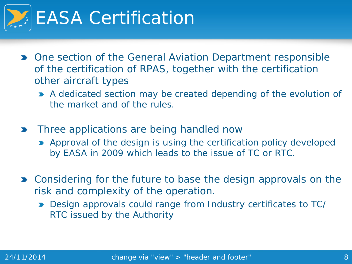

- One section of the General Aviation Department responsible of the certification of RPAS, together with the certification other aircraft types
	- A dedicated section may be created depending of the evolution of the market and of the rules.
- Three applications are being handled now
	- **Approval of the design is using the certification policy developed** by EASA in 2009 which leads to the issue of TC or RTC.
- **Demon Considering for the future to base the design approvals on the** risk and complexity of the operation.
	- Design approvals could range from Industry certificates to TC/ RTC issued by the Authority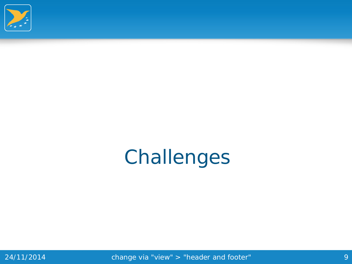

### Challenges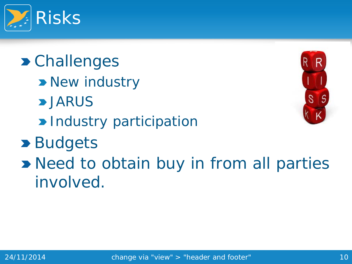

**> Challenges > New industry >JARUS Delayable 11 December 10 Participation >** Budgets **D** Need to obtain buy in from all parties involved.



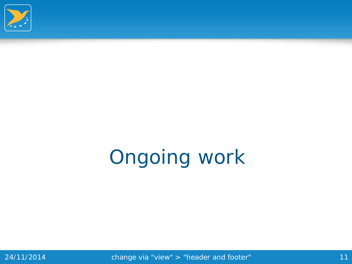

# Ongoing work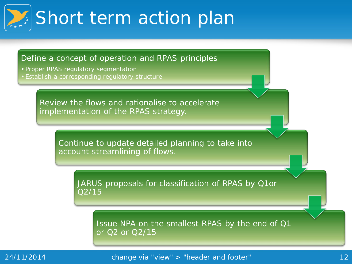# Short term action plan

#### Define a concept of operation and RPAS principles

- Proper RPAS regulatory segmentation
- Establish a corresponding regulatory structure

Review the flows and rationalise to accelerate implementation of the RPAS strategy.

> Continue to update detailed planning to take into account streamlining of flows.

JARUS proposals for classification of RPAS by Q1or Q2/15

Issue NPA on the smallest RPAS by the end of Q1 or Q2 or Q2/15